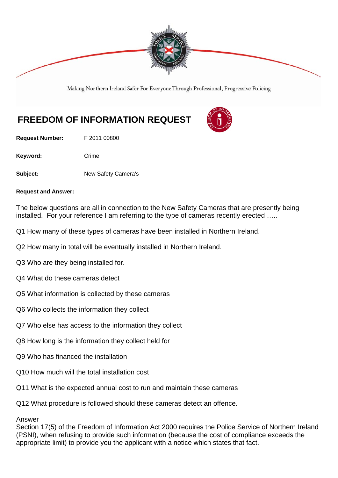

Making Northern Ireland Safer For Everyone Through Professional, Progressive Policing

# **FREEDOM OF INFORMATION REQUEST**

**Request Number:** F 2011 00800

Keyword: Crime

**Subject:** New Safety Camera's

#### **Request and Answer:**

The below questions are all in connection to the New Safety Cameras that are presently being installed. For your reference I am referring to the type of cameras recently erected …..

- Q1 How many of these types of cameras have been installed in Northern Ireland.
- Q2 How many in total will be eventually installed in Northern Ireland.
- Q3 Who are they being installed for.
- Q4 What do these cameras detect
- Q5 What information is collected by these cameras
- Q6 Who collects the information they collect
- Q7 Who else has access to the information they collect
- Q8 How long is the information they collect held for
- Q9 Who has financed the installation
- Q10 How much will the total installation cost
- Q11 What is the expected annual cost to run and maintain these cameras

Q12 What procedure is followed should these cameras detect an offence.

### Answer

Section 17(5) of the Freedom of Information Act 2000 requires the Police Service of Northern Ireland (PSNI), when refusing to provide such information (because the cost of compliance exceeds the appropriate limit) to provide you the applicant with a notice which states that fact.

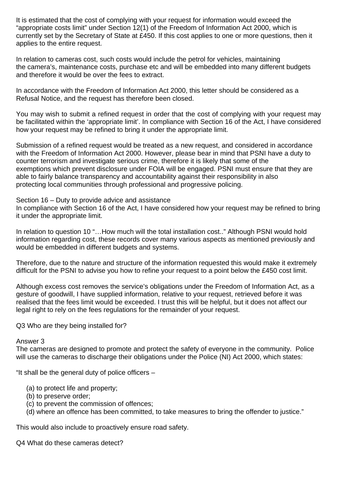It is estimated that the cost of complying with your request for information would exceed the "appropriate costs limit" under Section 12(1) of the Freedom of Information Act 2000, which is currently set by the Secretary of State at £450. If this cost applies to one or more questions, then it applies to the entire request.

In relation to cameras cost, such costs would include the petrol for vehicles, maintaining the camera's, maintenance costs, purchase etc and will be embedded into many different budgets and therefore it would be over the fees to extract.

In accordance with the Freedom of Information Act 2000, this letter should be considered as a Refusal Notice, and the request has therefore been closed.

You may wish to submit a refined request in order that the cost of complying with your request may be facilitated within the 'appropriate limit'. In compliance with Section 16 of the Act, I have considered how your request may be refined to bring it under the appropriate limit.

Submission of a refined request would be treated as a new request, and considered in accordance with the Freedom of Information Act 2000. However, please bear in mind that PSNI have a duty to counter terrorism and investigate serious crime, therefore it is likely that some of the exemptions which prevent disclosure under FOIA will be engaged. PSNI must ensure that they are able to fairly balance transparency and accountability against their responsibility in also protecting local communities through professional and progressive policing.

### Section 16 – Duty to provide advice and assistance

In compliance with Section 16 of the Act, I have considered how your request may be refined to bring it under the appropriate limit.

In relation to question 10 "...How much will the total installation cost.." Although PSNI would hold information regarding cost, these records cover many various aspects as mentioned previously and would be embedded in different budgets and systems.

Therefore, due to the nature and structure of the information requested this would make it extremely difficult for the PSNI to advise you how to refine your request to a point below the £450 cost limit.

Although excess cost removes the service's obligations under the Freedom of Information Act, as a gesture of goodwill, I have supplied information, relative to your request, retrieved before it was realised that the fees limit would be exceeded. I trust this will be helpful, but it does not affect our legal right to rely on the fees regulations for the remainder of your request.

Q3 Who are they being installed for?

### Answer 3

The cameras are designed to promote and protect the safety of everyone in the community. Police will use the cameras to discharge their obligations under the Police (NI) Act 2000, which states:

"It shall be the general duty of police officers –

- (a) to protect life and property;
- (b) to preserve order;
- (c) to prevent the commission of offences;
- (d) where an offence has been committed, to take measures to bring the offender to justice."

This would also include to proactively ensure road safety.

Q4 What do these cameras detect?